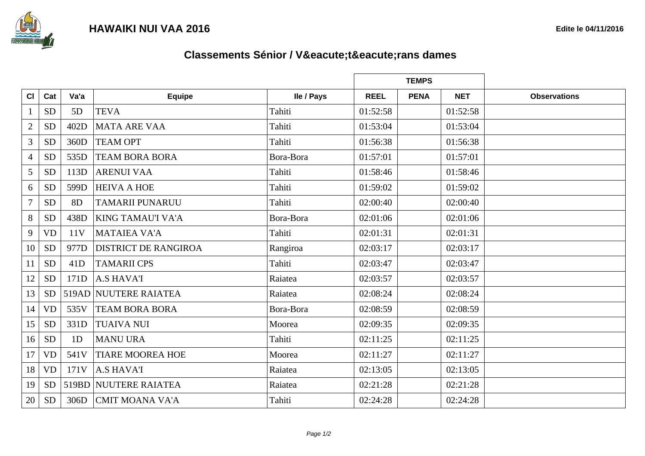



## **Classements Sénior / Vétérans dames**

|                |           |                |                             |            | <b>TEMPS</b> |             |            |                     |
|----------------|-----------|----------------|-----------------------------|------------|--------------|-------------|------------|---------------------|
| CI             | Cat       | Va'a           | <b>Equipe</b>               | lle / Pays | <b>REEL</b>  | <b>PENA</b> | <b>NET</b> | <b>Observations</b> |
| -1             | <b>SD</b> | 5D             | <b>TEVA</b>                 | Tahiti     | 01:52:58     |             | 01:52:58   |                     |
| $\overline{2}$ | <b>SD</b> | 402D           | <b>MATA ARE VAA</b>         | Tahiti     | 01:53:04     |             | 01:53:04   |                     |
| 3              | <b>SD</b> | 360D           | <b>TEAM OPT</b>             | Tahiti     | 01:56:38     |             | 01:56:38   |                     |
| $\overline{4}$ | <b>SD</b> | 535D           | <b>TEAM BORA BORA</b>       | Bora-Bora  | 01:57:01     |             | 01:57:01   |                     |
| 5              | <b>SD</b> | 113D           | <b>ARENUI VAA</b>           | Tahiti     | 01:58:46     |             | 01:58:46   |                     |
| 6              | <b>SD</b> | 599D           | <b>HEIVA A HOE</b>          | Tahiti     | 01:59:02     |             | 01:59:02   |                     |
| $\overline{7}$ | <b>SD</b> | 8 <sub>D</sub> | <b>TAMARII PUNARUU</b>      | Tahiti     | 02:00:40     |             | 02:00:40   |                     |
| 8              | <b>SD</b> | 438D           | <b>KING TAMAU'I VA'A</b>    | Bora-Bora  | 02:01:06     |             | 02:01:06   |                     |
| 9              | <b>VD</b> | 11V            | <b>MATAIEA VA'A</b>         | Tahiti     | 02:01:31     |             | 02:01:31   |                     |
| 10             | <b>SD</b> | 977D           | <b>DISTRICT DE RANGIROA</b> | Rangiroa   | 02:03:17     |             | 02:03:17   |                     |
| 11             | <b>SD</b> | 41D            | <b>TAMARII CPS</b>          | Tahiti     | 02:03:47     |             | 02:03:47   |                     |
| 12             | <b>SD</b> | 171D           | <b>A.S HAVA'I</b>           | Raiatea    | 02:03:57     |             | 02:03:57   |                     |
| 13             | <b>SD</b> |                | 519AD NUUTERE RAIATEA       | Raiatea    | 02:08:24     |             | 02:08:24   |                     |
| 14             | <b>VD</b> | 535V           | <b>TEAM BORA BORA</b>       | Bora-Bora  | 02:08:59     |             | 02:08:59   |                     |
| 15             | $\rm SD$  | 331D           | <b>TUAIVA NUI</b>           | Moorea     | 02:09:35     |             | 02:09:35   |                     |
| 16             | <b>SD</b> | 1D             | <b>MANU URA</b>             | Tahiti     | 02:11:25     |             | 02:11:25   |                     |
| 17             | <b>VD</b> | 541V           | <b>TIARE MOOREA HOE</b>     | Moorea     | 02:11:27     |             | 02:11:27   |                     |
| 18             | <b>VD</b> | 171V           | <b>A.S HAVA'I</b>           | Raiatea    | 02:13:05     |             | 02:13:05   |                     |
| 19             | <b>SD</b> |                | 519BD NUUTERE RAIATEA       | Raiatea    | 02:21:28     |             | 02:21:28   |                     |
| 20             | <b>SD</b> | 306D           | <b>CMIT MOANA VA'A</b>      | Tahiti     | 02:24:28     |             | 02:24:28   |                     |